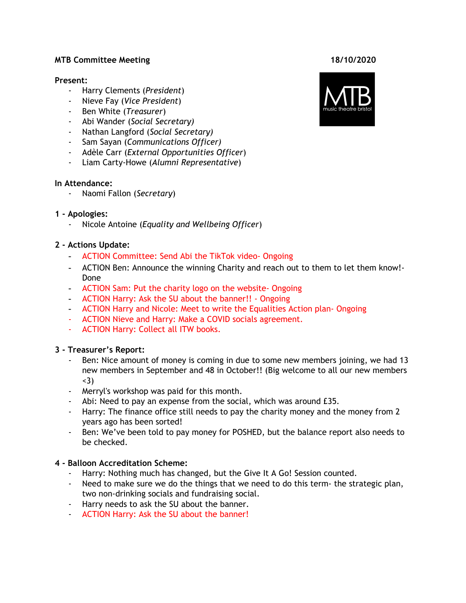#### **MTB Committee Meeting 18/10/2020**

#### **Present:**

- Harry Clements (*President*)
- Nieve Fay (*Vice President*)
- Ben White (*Treasurer*)
- Abi Wander (*Social Secretary)*
- Nathan Langford (*Social Secretary)*
- Sam Sayan (*Communications Officer)*
- Adèle Carr (*External Opportunities Officer*)
- Liam Carty-Howe (*Alumni Representative*)

#### **In Attendance:**

- Naomi Fallon (*Secretary*)

### **1 - Apologies:**

- Nicole Antoine (*Equality and Wellbeing Officer*)

### **2 - Actions Update:**

- ACTION Committee: Send Abi the TikTok video- Ongoing
- ACTION Ben: Announce the winning Charity and reach out to them to let them know!- Done
- ACTION Sam: Put the charity logo on the website- Ongoing
- ACTION Harry: Ask the SU about the banner!! Ongoing
- ACTION Harry and Nicole: Meet to write the Equalities Action plan- Ongoing
- ACTION Nieve and Harry: Make a COVID socials agreement.
- ACTION Harry: Collect all ITW books.

### **3 - Treasurer's Report:**

- Ben: Nice amount of money is coming in due to some new members joining, we had 13 new members in September and 48 in October!! (Big welcome to all our new members <3)
- Merryl's workshop was paid for this month.
- Abi: Need to pay an expense from the social, which was around £35.
- Harry: The finance office still needs to pay the charity money and the money from 2 years ago has been sorted!
- Ben: We've been told to pay money for POSHED, but the balance report also needs to be checked.

### **4 - Balloon Accreditation Scheme:**

- Harry: Nothing much has changed, but the Give It A Go! Session counted.
- Need to make sure we do the things that we need to do this term- the strategic plan, two non-drinking socials and fundraising social.
- Harry needs to ask the SU about the banner.
- ACTION Harry: Ask the SU about the banner!

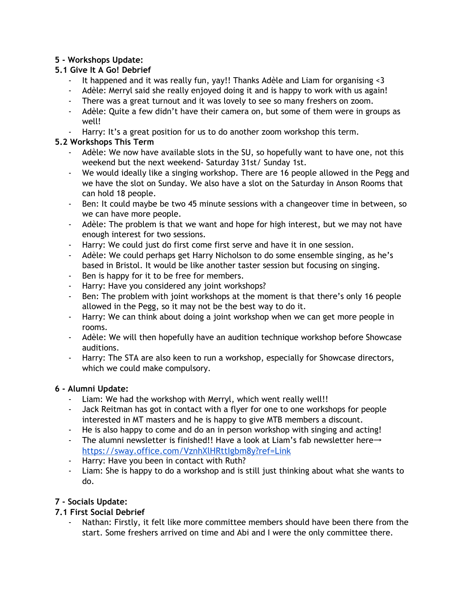# **5 - Workshops Update:**

# **5.1 Give It A Go! Debrief**

- It happened and it was really fun, yay!! Thanks Adèle and Liam for organising <3
- Adèle: Merryl said she really enjoyed doing it and is happy to work with us again!
- There was a great turnout and it was lovely to see so many freshers on zoom.
- Adèle: Quite a few didn't have their camera on, but some of them were in groups as well!
- Harry: It's a great position for us to do another zoom workshop this term.

# **5.2 Workshops This Term**

- Adèle: We now have available slots in the SU, so hopefully want to have one, not this weekend but the next weekend- Saturday 31st/ Sunday 1st.
- We would ideally like a singing workshop. There are 16 people allowed in the Pegg and we have the slot on Sunday. We also have a slot on the Saturday in Anson Rooms that can hold 18 people.
- Ben: It could maybe be two 45 minute sessions with a changeover time in between, so we can have more people.
- Adèle: The problem is that we want and hope for high interest, but we may not have enough interest for two sessions.
- Harry: We could just do first come first serve and have it in one session.
- Adèle: We could perhaps get Harry Nicholson to do some ensemble singing, as he's based in Bristol. It would be like another taster session but focusing on singing.
- Ben is happy for it to be free for members.
- Harry: Have you considered any joint workshops?
- Ben: The problem with joint workshops at the moment is that there's only 16 people allowed in the Pegg, so it may not be the best way to do it.
- Harry: We can think about doing a joint workshop when we can get more people in rooms.
- Adèle: We will then hopefully have an audition technique workshop before Showcase auditions.
- Harry: The STA are also keen to run a workshop, especially for Showcase directors, which we could make compulsory.

# **6 - Alumni Update:**

- Liam: We had the workshop with Merryl, which went really well!!
- Jack Reitman has got in contact with a flyer for one to one workshops for people interested in MT masters and he is happy to give MTB members a discount.
- He is also happy to come and do an in person workshop with singing and acting!
- The alumni newsletter is finished!! Have a look at Liam's fab newsletter here→ [https://sway.office.com/VznhXlHRttIgbm8y?ref=Link](https://sway.office.com/VznhXlHRttIgbm8y?ref=Link&fbclid=IwAR0dYr2VbKRTyVNdQmBIrJDyJGTrLgXiGZU2XHvEfwlYhr-Yj9r0h96f7ss)
- Harry: Have you been in contact with Ruth?
- Liam: She is happy to do a workshop and is still just thinking about what she wants to do.

# **7 - Socials Update:**

# **7.1 First Social Debrief**

Nathan: Firstly, it felt like more committee members should have been there from the start. Some freshers arrived on time and Abi and I were the only committee there.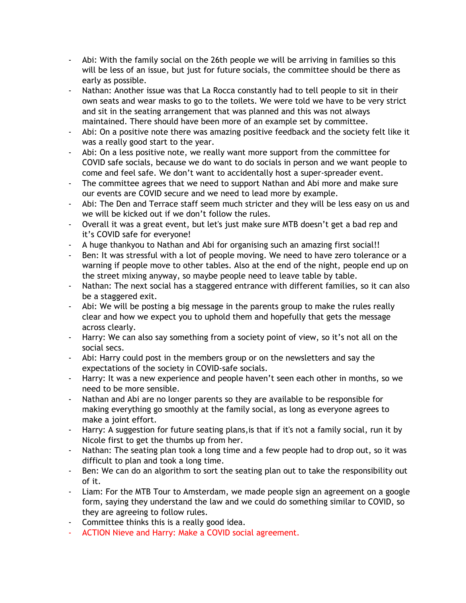- Abi: With the family social on the 26th people we will be arriving in families so this will be less of an issue, but just for future socials, the committee should be there as early as possible.
- Nathan: Another issue was that La Rocca constantly had to tell people to sit in their own seats and wear masks to go to the toilets. We were told we have to be very strict and sit in the seating arrangement that was planned and this was not always maintained. There should have been more of an example set by committee.
- Abi: On a positive note there was amazing positive feedback and the society felt like it was a really good start to the year.
- Abi: On a less positive note, we really want more support from the committee for COVID safe socials, because we do want to do socials in person and we want people to come and feel safe. We don't want to accidentally host a super-spreader event.
- The committee agrees that we need to support Nathan and Abi more and make sure our events are COVID secure and we need to lead more by example.
- Abi: The Den and Terrace staff seem much stricter and they will be less easy on us and we will be kicked out if we don't follow the rules.
- Overall it was a great event, but let's just make sure MTB doesn't get a bad rep and it's COVID safe for everyone!
- A huge thankyou to Nathan and Abi for organising such an amazing first social!!
- Ben: It was stressful with a lot of people moving. We need to have zero tolerance or a warning if people move to other tables. Also at the end of the night, people end up on the street mixing anyway, so maybe people need to leave table by table.
- Nathan: The next social has a staggered entrance with different families, so it can also be a staggered exit.
- Abi: We will be posting a big message in the parents group to make the rules really clear and how we expect you to uphold them and hopefully that gets the message across clearly.
- Harry: We can also say something from a society point of view, so it's not all on the social secs.
- Abi: Harry could post in the members group or on the newsletters and say the expectations of the society in COVID-safe socials.
- Harry: It was a new experience and people haven't seen each other in months, so we need to be more sensible.
- Nathan and Abi are no longer parents so they are available to be responsible for making everything go smoothly at the family social, as long as everyone agrees to make a joint effort.
- Harry: A suggestion for future seating plans,is that if it's not a family social, run it by Nicole first to get the thumbs up from her.
- Nathan: The seating plan took a long time and a few people had to drop out, so it was difficult to plan and took a long time.
- Ben: We can do an algorithm to sort the seating plan out to take the responsibility out of it.
- Liam: For the MTB Tour to Amsterdam, we made people sign an agreement on a google form, saying they understand the law and we could do something similar to COVID, so they are agreeing to follow rules.
- Committee thinks this is a really good idea.
- ACTION Nieve and Harry: Make a COVID social agreement.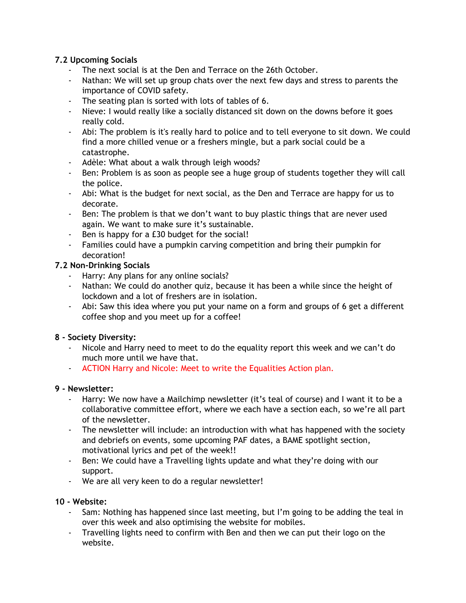## **7.2 Upcoming Socials**

- The next social is at the Den and Terrace on the 26th October.
- Nathan: We will set up group chats over the next few days and stress to parents the importance of COVID safety.
- The seating plan is sorted with lots of tables of 6.
- Nieve: I would really like a socially distanced sit down on the downs before it goes really cold.
- Abi: The problem is it's really hard to police and to tell everyone to sit down. We could find a more chilled venue or a freshers mingle, but a park social could be a catastrophe.
- Adèle: What about a walk through leigh woods?
- Ben: Problem is as soon as people see a huge group of students together they will call the police.
- Abi: What is the budget for next social, as the Den and Terrace are happy for us to decorate.
- Ben: The problem is that we don't want to buy plastic things that are never used again. We want to make sure it's sustainable.
- Ben is happy for a £30 budget for the social!
- Families could have a pumpkin carving competition and bring their pumpkin for decoration!

# **7.2 Non-Drinking Socials**

- Harry: Any plans for any online socials?
- Nathan: We could do another quiz, because it has been a while since the height of lockdown and a lot of freshers are in isolation.
- Abi: Saw this idea where you put your name on a form and groups of 6 get a different coffee shop and you meet up for a coffee!

# **8 - Society Diversity:**

- Nicole and Harry need to meet to do the equality report this week and we can't do much more until we have that.
- ACTION Harry and Nicole: Meet to write the Equalities Action plan.

# **9 - Newsletter:**

- Harry: We now have a Mailchimp newsletter (it's teal of course) and I want it to be a collaborative committee effort, where we each have a section each, so we're all part of the newsletter.
- The newsletter will include: an introduction with what has happened with the society and debriefs on events, some upcoming PAF dates, a BAME spotlight section, motivational lyrics and pet of the week!!
- Ben: We could have a Travelling lights update and what they're doing with our support.
- We are all very keen to do a regular newsletter!

### **10 - Website:**

- Sam: Nothing has happened since last meeting, but I'm going to be adding the teal in over this week and also optimising the website for mobiles.
- Travelling lights need to confirm with Ben and then we can put their logo on the website.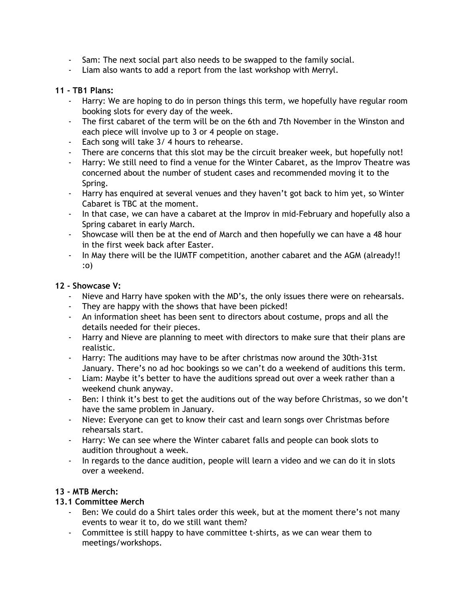- Sam: The next social part also needs to be swapped to the family social.
- Liam also wants to add a report from the last workshop with Merryl.

### **11 - TB1 Plans:**

- Harry: We are hoping to do in person things this term, we hopefully have regular room booking slots for every day of the week.
- The first cabaret of the term will be on the 6th and 7th November in the Winston and each piece will involve up to 3 or 4 people on stage.
- Each song will take 3/ 4 hours to rehearse.
- There are concerns that this slot may be the circuit breaker week, but hopefully not!
- Harry: We still need to find a venue for the Winter Cabaret, as the Improv Theatre was concerned about the number of student cases and recommended moving it to the Spring.
- Harry has enquired at several venues and they haven't got back to him yet, so Winter Cabaret is TBC at the moment.
- In that case, we can have a cabaret at the Improv in mid-February and hopefully also a Spring cabaret in early March.
- Showcase will then be at the end of March and then hopefully we can have a 48 hour in the first week back after Easter.
- In May there will be the IUMTF competition, another cabaret and the AGM (already!! :o)

### **12 - Showcase V:**

- Nieve and Harry have spoken with the MD's, the only issues there were on rehearsals.
- They are happy with the shows that have been picked!
- An information sheet has been sent to directors about costume, props and all the details needed for their pieces.
- Harry and Nieve are planning to meet with directors to make sure that their plans are realistic.
- Harry: The auditions may have to be after christmas now around the 30th-31st January. There's no ad hoc bookings so we can't do a weekend of auditions this term.
- Liam: Maybe it's better to have the auditions spread out over a week rather than a weekend chunk anyway.
- Ben: I think it's best to get the auditions out of the way before Christmas, so we don't have the same problem in January.
- Nieve: Everyone can get to know their cast and learn songs over Christmas before rehearsals start.
- Harry: We can see where the Winter cabaret falls and people can book slots to audition throughout a week.
- In regards to the dance audition, people will learn a video and we can do it in slots over a weekend.

# **13 - MTB Merch:**

### **13.1 Committee Merch**

- Ben: We could do a Shirt tales order this week, but at the moment there's not many events to wear it to, do we still want them?
- Committee is still happy to have committee t-shirts, as we can wear them to meetings/workshops.